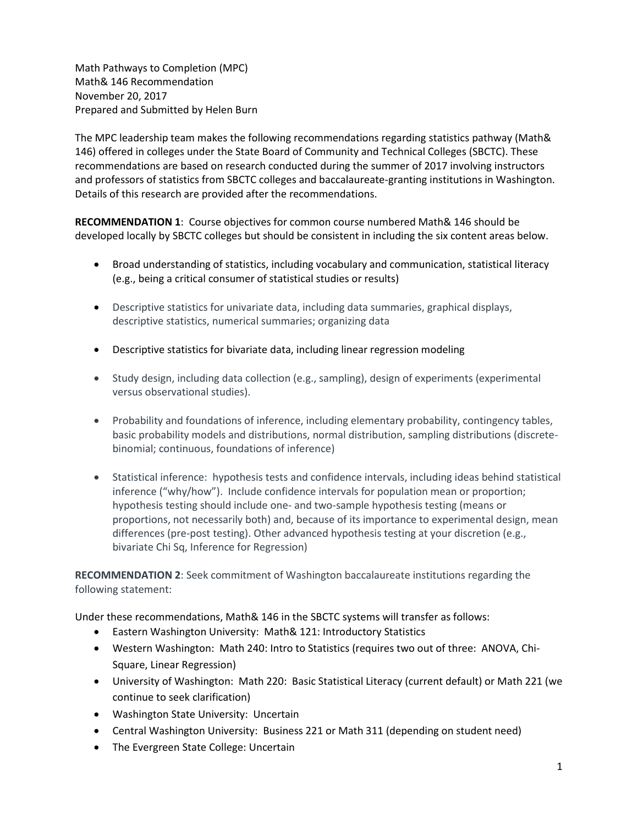Math Pathways to Completion (MPC) Math& 146 Recommendation November 20, 2017 Prepared and Submitted by Helen Burn

The MPC leadership team makes the following recommendations regarding statistics pathway (Math& 146) offered in colleges under the State Board of Community and Technical Colleges (SBCTC). These recommendations are based on research conducted during the summer of 2017 involving instructors and professors of statistics from SBCTC colleges and baccalaureate-granting institutions in Washington. Details of this research are provided after the recommendations.

**RECOMMENDATION 1**: Course objectives for common course numbered Math& 146 should be developed locally by SBCTC colleges but should be consistent in including the six content areas below.

- Broad understanding of statistics, including vocabulary and communication, statistical literacy (e.g., being a critical consumer of statistical studies or results)
- Descriptive statistics for univariate data, including data summaries, graphical displays, descriptive statistics, numerical summaries; organizing data
- Descriptive statistics for bivariate data, including linear regression modeling
- Study design, including data collection (e.g., sampling), design of experiments (experimental versus observational studies).
- Probability and foundations of inference, including elementary probability, contingency tables, basic probability models and distributions, normal distribution, sampling distributions (discretebinomial; continuous, foundations of inference)
- Statistical inference: hypothesis tests and confidence intervals, including ideas behind statistical inference ("why/how"). Include confidence intervals for population mean or proportion; hypothesis testing should include one- and two-sample hypothesis testing (means or proportions, not necessarily both) and, because of its importance to experimental design, mean differences (pre-post testing). Other advanced hypothesis testing at your discretion (e.g., bivariate Chi Sq, Inference for Regression)

**RECOMMENDATION 2**: Seek commitment of Washington baccalaureate institutions regarding the following statement:

Under these recommendations, Math& 146 in the SBCTC systems will transfer as follows:

- Eastern Washington University: Math& 121: Introductory Statistics
- Western Washington: Math 240: Intro to Statistics (requires two out of three: ANOVA, Chi-Square, Linear Regression)
- University of Washington: Math 220: Basic Statistical Literacy (current default) or Math 221 (we continue to seek clarification)
- Washington State University: Uncertain
- Central Washington University: Business 221 or Math 311 (depending on student need)
- The Evergreen State College: Uncertain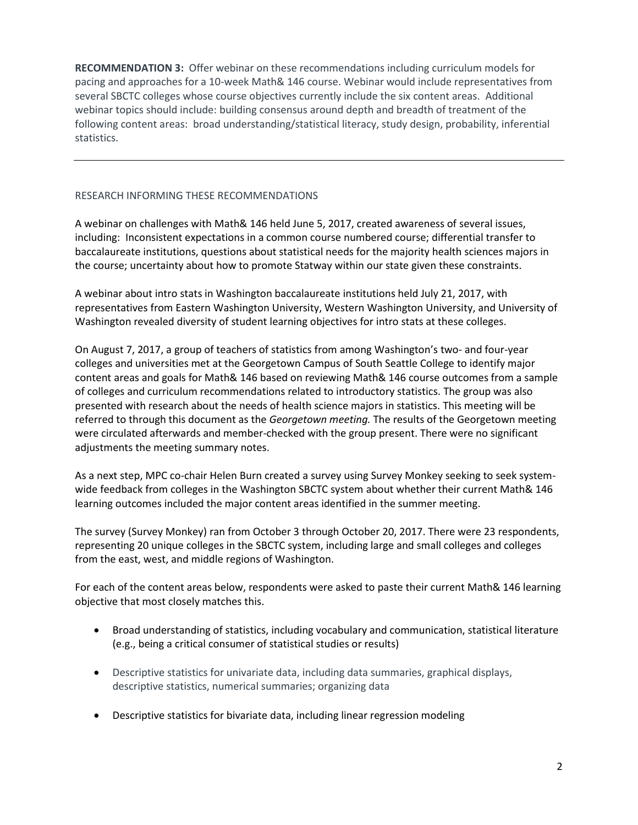**RECOMMENDATION 3:** Offer webinar on these recommendations including curriculum models for pacing and approaches for a 10-week Math& 146 course. Webinar would include representatives from several SBCTC colleges whose course objectives currently include the six content areas. Additional webinar topics should include: building consensus around depth and breadth of treatment of the following content areas: broad understanding/statistical literacy, study design, probability, inferential statistics.

#### RESEARCH INFORMING THESE RECOMMENDATIONS

A webinar on challenges with Math& 146 held June 5, 2017, created awareness of several issues, including: Inconsistent expectations in a common course numbered course; differential transfer to baccalaureate institutions, questions about statistical needs for the majority health sciences majors in the course; uncertainty about how to promote Statway within our state given these constraints.

A webinar about intro stats in Washington baccalaureate institutions held July 21, 2017, with representatives from Eastern Washington University, Western Washington University, and University of Washington revealed diversity of student learning objectives for intro stats at these colleges.

On August 7, 2017, a group of teachers of statistics from among Washington's two- and four-year colleges and universities met at the Georgetown Campus of South Seattle College to identify major content areas and goals for Math& 146 based on reviewing Math& 146 course outcomes from a sample of colleges and curriculum recommendations related to introductory statistics. The group was also presented with research about the needs of health science majors in statistics. This meeting will be referred to through this document as the *Georgetown meeting.* The results of the Georgetown meeting were circulated afterwards and member-checked with the group present. There were no significant adjustments the meeting summary notes.

As a next step, MPC co-chair Helen Burn created a survey using Survey Monkey seeking to seek systemwide feedback from colleges in the Washington SBCTC system about whether their current Math& 146 learning outcomes included the major content areas identified in the summer meeting.

The survey (Survey Monkey) ran from October 3 through October 20, 2017. There were 23 respondents, representing 20 unique colleges in the SBCTC system, including large and small colleges and colleges from the east, west, and middle regions of Washington.

For each of the content areas below, respondents were asked to paste their current Math& 146 learning objective that most closely matches this.

- Broad understanding of statistics, including vocabulary and communication, statistical literature (e.g., being a critical consumer of statistical studies or results)
- Descriptive statistics for univariate data, including data summaries, graphical displays, descriptive statistics, numerical summaries; organizing data
- Descriptive statistics for bivariate data, including linear regression modeling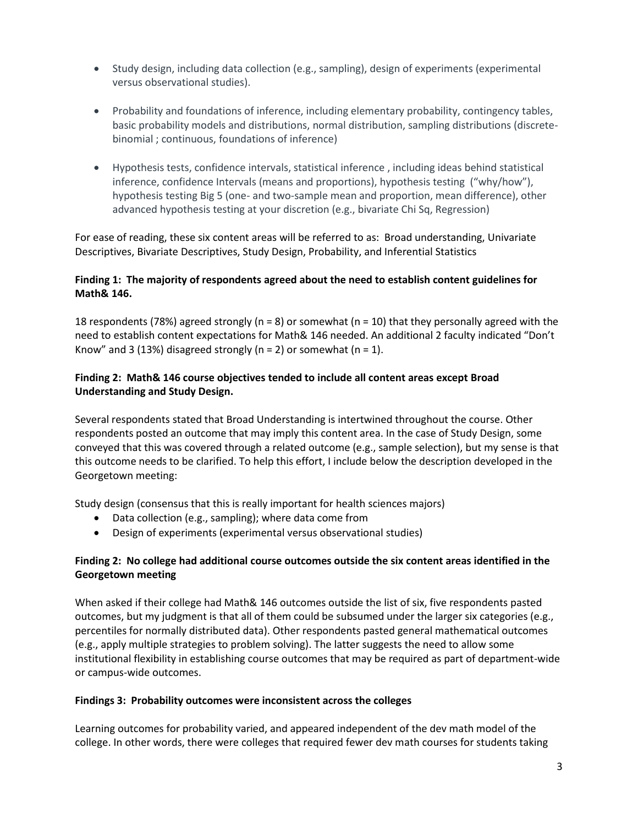- Study design, including data collection (e.g., sampling), design of experiments (experimental versus observational studies).
- Probability and foundations of inference, including elementary probability, contingency tables, basic probability models and distributions, normal distribution, sampling distributions (discretebinomial ; continuous, foundations of inference)
- Hypothesis tests, confidence intervals, statistical inference , including ideas behind statistical inference, confidence Intervals (means and proportions), hypothesis testing ("why/how"), hypothesis testing Big 5 (one- and two-sample mean and proportion, mean difference), other advanced hypothesis testing at your discretion (e.g., bivariate Chi Sq, Regression)

For ease of reading, these six content areas will be referred to as: Broad understanding, Univariate Descriptives, Bivariate Descriptives, Study Design, Probability, and Inferential Statistics

# **Finding 1: The majority of respondents agreed about the need to establish content guidelines for Math& 146.**

18 respondents (78%) agreed strongly ( $n = 8$ ) or somewhat ( $n = 10$ ) that they personally agreed with the need to establish content expectations for Math& 146 needed. An additional 2 faculty indicated "Don't Know" and 3 (13%) disagreed strongly ( $n = 2$ ) or somewhat ( $n = 1$ ).

# **Finding 2: Math& 146 course objectives tended to include all content areas except Broad Understanding and Study Design.**

Several respondents stated that Broad Understanding is intertwined throughout the course. Other respondents posted an outcome that may imply this content area. In the case of Study Design, some conveyed that this was covered through a related outcome (e.g., sample selection), but my sense is that this outcome needs to be clarified. To help this effort, I include below the description developed in the Georgetown meeting:

Study design (consensus that this is really important for health sciences majors)

- Data collection (e.g., sampling); where data come from
- Design of experiments (experimental versus observational studies)

# **Finding 2: No college had additional course outcomes outside the six content areas identified in the Georgetown meeting**

When asked if their college had Math& 146 outcomes outside the list of six, five respondents pasted outcomes, but my judgment is that all of them could be subsumed under the larger six categories (e.g., percentiles for normally distributed data). Other respondents pasted general mathematical outcomes (e.g., apply multiple strategies to problem solving). The latter suggests the need to allow some institutional flexibility in establishing course outcomes that may be required as part of department-wide or campus-wide outcomes.

#### **Findings 3: Probability outcomes were inconsistent across the colleges**

Learning outcomes for probability varied, and appeared independent of the dev math model of the college. In other words, there were colleges that required fewer dev math courses for students taking